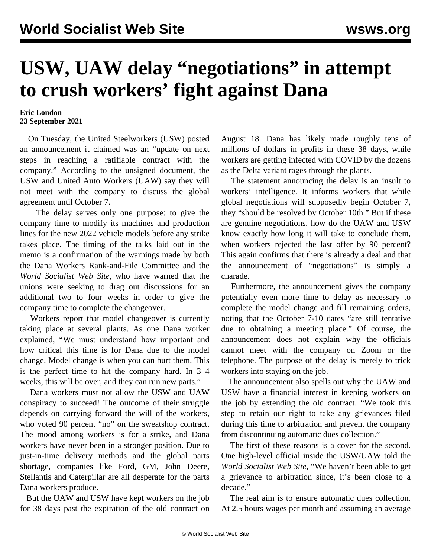## **USW, UAW delay "negotiations" in attempt to crush workers' fight against Dana**

## **Eric London 23 September 2021**

 On Tuesday, the United Steelworkers (USW) posted an announcement it claimed was an "update on next steps in reaching a ratifiable contract with the company." According to the unsigned document, the USW and United Auto Workers (UAW) say they will not meet with the company to discuss the global agreement until October 7.

 The delay serves only one purpose: to give the company time to modify its machines and production lines for the new 2022 vehicle models before any strike takes place. The timing of the talks laid out in the memo is a confirmation of the warnings made by both the Dana Workers Rank-and-File Committee and the *World Socialist Web Site*, who have warned that the unions were seeking to drag out discussions for an additional two to four weeks in order to give the company time to complete the changeover.

 Workers report that model changeover is currently taking place at several plants. As one Dana worker explained, "We must understand how important and how critical this time is for Dana due to the model change. Model change is when you can hurt them. This is the perfect time to hit the company hard. In 3–4 weeks, this will be over, and they can run new parts."

 Dana workers must not allow the USW and UAW conspiracy to succeed! The outcome of their struggle depends on carrying forward the will of the workers, who voted 90 percent "no" on the sweatshop contract. The mood among workers is for a strike, and Dana workers have never been in a stronger position. Due to just-in-time delivery methods and the global parts shortage, companies like Ford, GM, John Deere, Stellantis and Caterpillar are all desperate for the parts Dana workers produce.

 But the UAW and USW have kept workers on the job for 38 days past the expiration of the old contract on August 18. Dana has likely made roughly tens of millions of dollars in profits in these 38 days, while workers are getting infected with COVID by the dozens as the Delta variant rages through the plants.

 The statement announcing the delay is an insult to workers' intelligence. It informs workers that while global negotiations will supposedly begin October 7, they "should be resolved by October 10th." But if these are genuine negotiations, how do the UAW and USW know exactly how long it will take to conclude them, when workers rejected the last offer by 90 percent? This again confirms that there is already a deal and that the announcement of "negotiations" is simply a charade.

 Furthermore, the announcement gives the company potentially even more time to delay as necessary to complete the model change and fill remaining orders, noting that the October 7-10 dates "are still tentative due to obtaining a meeting place." Of course, the announcement does not explain why the officials cannot meet with the company on Zoom or the telephone. The purpose of the delay is merely to trick workers into staying on the job.

 The announcement also spells out why the UAW and USW have a financial interest in keeping workers on the job by extending the old contract. "We took this step to retain our right to take any grievances filed during this time to arbitration and prevent the company from discontinuing automatic dues collection."

 The first of these reasons is a cover for the second. One high-level official inside the USW/UAW told the *World Socialist Web Site*, "We haven't been able to get a grievance to arbitration since, it's been close to a decade."

 The real aim is to ensure automatic dues collection. At 2.5 hours wages per month and assuming an average